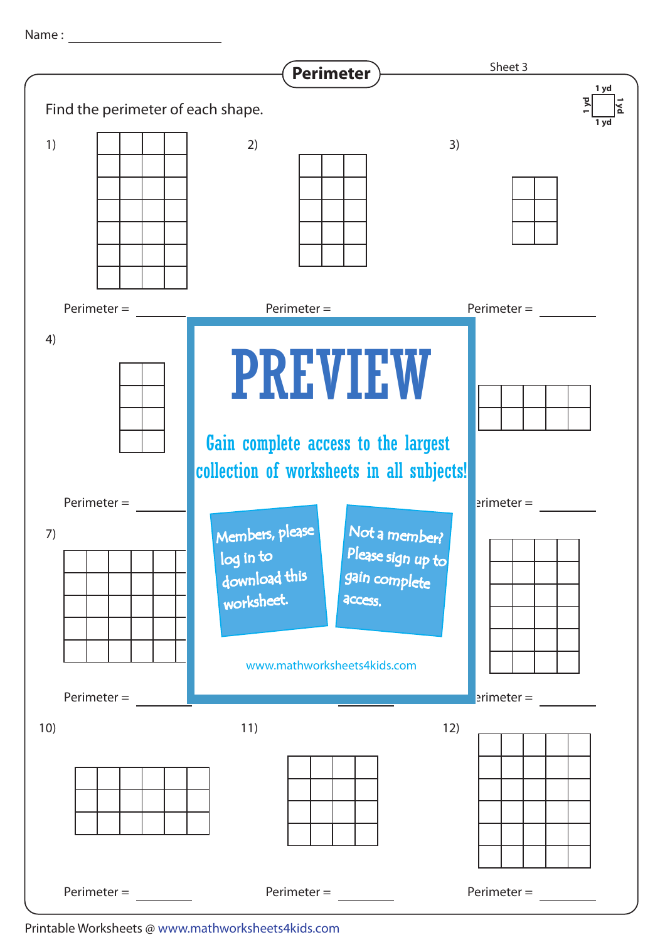Name : with the state of  $\sim$ 



Printable Worksheets @ www.mathworksheets4kids.com